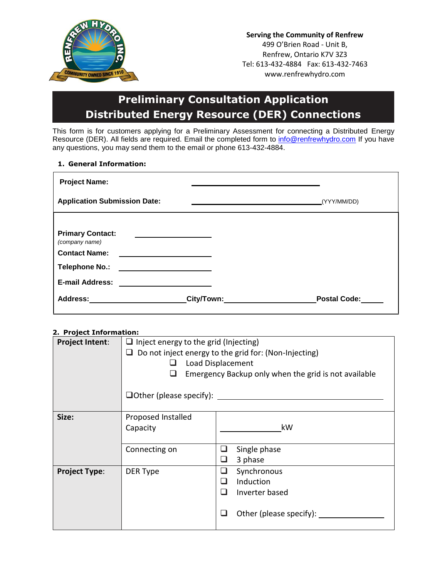

**Serving the Community of Renfrew** 499 O'Brien Road - Unit B, Renfrew, Ontario K7V 3Z3 Tel: 613-432-4884 Fax: 613-432-7463 www.renfrewhydro.com

## **Preliminary Consultation Application Distributed Energy Resource (DER) Connections**

This form is for customers applying for a Preliminary Assessment for connecting a Distributed Energy Resource (DER). All fields are required. Email the completed form to [info@renfrewhydro.com](mailto:info@renfrewhydro.com) If you have any questions, you may send them to the email or phone 613-432-4884.

## **1. General Information:**

| <b>Project Name:</b>                                              |            |                     |
|-------------------------------------------------------------------|------------|---------------------|
| <b>Application Submission Date:</b>                               |            | (YYY/MM/DD)         |
| <b>Primary Contact:</b><br>(company name)<br><b>Contact Name:</b> |            |                     |
| Telephone No.:                                                    |            |                     |
| <b>E-mail Address:</b>                                            |            |                     |
| Address:                                                          | City/Town: | <b>Postal Code:</b> |

## **2. Project Information:**

| <b>Project Intent:</b> | $\Box$ Inject energy to the grid (Injecting)<br>Do not inject energy to the grid for: (Non-Injecting)<br>ப<br>Load Displacement<br>Emergency Backup only when the grid is not available<br>$\Box$ Other (please specify): |                                                                                            |  |
|------------------------|---------------------------------------------------------------------------------------------------------------------------------------------------------------------------------------------------------------------------|--------------------------------------------------------------------------------------------|--|
| Size:                  | Proposed Installed<br>Capacity                                                                                                                                                                                            | kW                                                                                         |  |
|                        | Connecting on                                                                                                                                                                                                             | Single phase<br>3 phase<br>ш                                                               |  |
| <b>Project Type:</b>   | DER Type                                                                                                                                                                                                                  | Synchronous<br>⊔<br>Induction<br>$\mathsf{L}$<br>Inverter based<br>Other (please specify): |  |